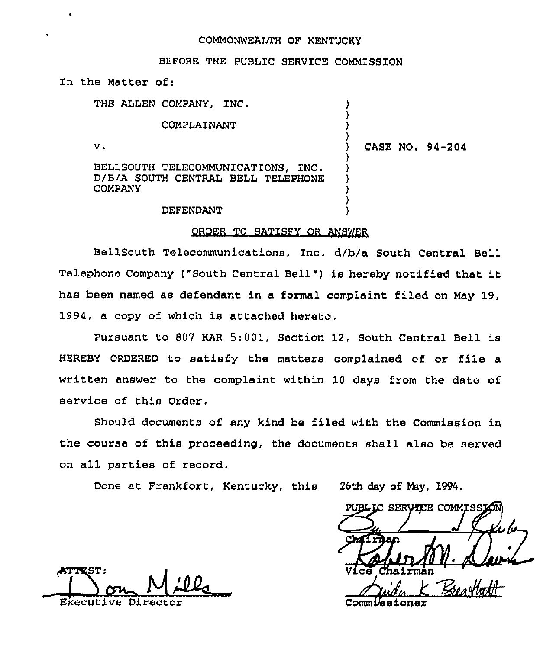#### COMMONWEALTH OF KENTUCKY

#### BEFORE THE PUBLIC SERVICE COMMISSION

Zn the Matter of:

| THE ALLEN COMPANY, INC.                                                                    |                 |
|--------------------------------------------------------------------------------------------|-----------------|
| COMPLAINANT                                                                                |                 |
| v.                                                                                         | CASE NO. 94-204 |
| BELLSOUTH TELECOMMUNICATIONS, INC.<br>D/B/A SOUTH CENTRAL BELL TELEPHONE<br><b>COMPANY</b> |                 |
| DEFENDANT                                                                                  |                 |
| ORDER TO SATISFY OR ANSWER                                                                 |                 |

BellSouth Telecommunications, Inc. d/b/a South Central Bell Telephone Company ("South Central Bell" ) is hereby notified that it has been named as defendant in a formal complaint filed on May 19, 1994, a copy of which is attached hereto,

Pursuant to 807 KAR 5:001, Section 12, South Central Bell is HEREBY ORDERED to satisfy the matters complained of or file a written answer to the complaint within 10 days from the date of service of this Order.

Should documents of any kind he filed with the Commission in the course of this proceeding, the documents shall also be served on all parties of record.

Done at Frankfort, Kentucky, this 26th day of May, 1994.

PUBLIC SERVICE COMMISSIO We Chairman Vice Chairman Duri Juida K Breathor Commi/as loner

**ATTEST:** 

Executive Director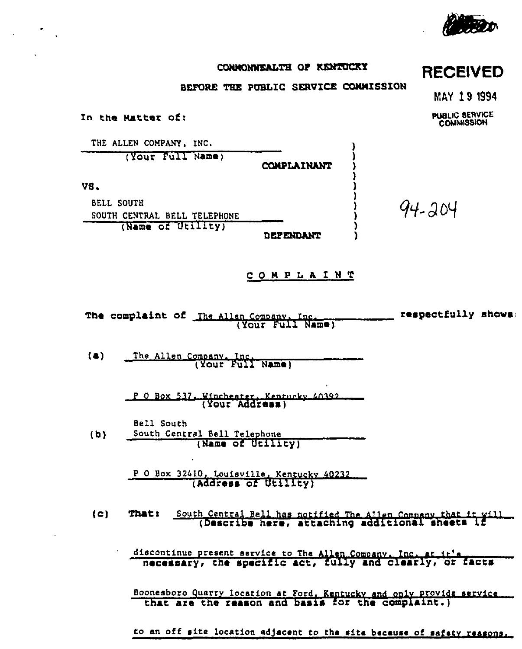

### CONNONNEALTH OF KENTUCKY

### BEFORE THE PUBLIC SERVICE COMMISSION

# **MAY 19 1994**

**RECEIVED** 

**PUBLIC SERVICE COMMISSION** 

94-204

THE ALLEN COMPANY, INC. (Your Full Name) COMPLAINANT VS. **BELL SOUTH** SOUTH CENTRAL BELL TELEPHONE (Name of Utility)

In the Matter of:

**DEFENDANT** 

## COMPLAINT

The complaint of The Allen Company, Inc. respectfully shows:

The Allen Company, Inc. (Your Full Name)  $(a)$ 

P 0 Box 537. Winchester, Kentucky 40392

Bell South South Central Bell Telephone  $(b)$ (Name of UEIlley)

> P O Box 32410, Louisville, Kentucky 40232 (Address of Utility)

South Central Bell has notified The Allen Company that it will<br>(Describe here, attaching additional sheets if  $(c)$ **That:** 

discontinue present service to The Allen Company, Inc. at it's necessary, the specific act, fully and clearly, or facts

Boonesboro Quarry location at Ford, Kentucky and only provide service that are the reason and basis for the complaint.)

to an off site location adjacent to the site because of safety reasons.